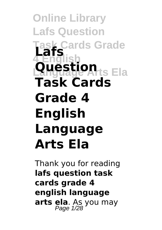#### **Online Library Lafs Question Cards Grade 4 English Question**ts Ela **Lafs Task Cards Grade 4 English Language Arts Ela**

Thank you for reading **lafs question task cards grade 4 english language arts ela**. As you may Page 1/28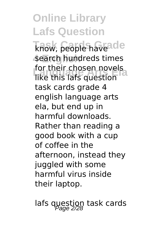know, people haveade **search hundreds times Lor their chosen novels**<br>like this lafs question for their chosen novels task cards grade 4 english language arts ela, but end up in harmful downloads. Rather than reading a good book with a cup of coffee in the afternoon, instead they juggled with some harmful virus inside their laptop.

lafs question task cards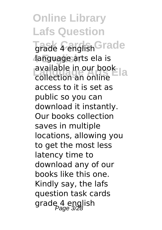**Online Library Lafs Question Grade 4 english Grade 4 English** language arts ela is **Language Arts Ela**<br>and the collection and online collection an online access to it is set as public so you can download it instantly. Our books collection saves in multiple locations, allowing you to get the most less latency time to download any of our books like this one. Kindly say, the lafs question task cards grade 4 english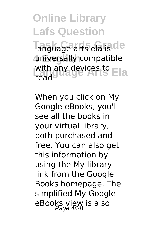**Online Library Lafs Question Tanguage arts ela isde 4 English** universally compatible with any devices to **Ela** read

When you click on My Google eBooks, you'll see all the books in your virtual library, both purchased and free. You can also get this information by using the My library link from the Google Books homepage. The simplified My Google eBooks view is also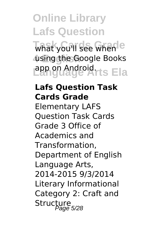what you'll see when<sup>le</sup> **4 English** using the Google Books **Language Arts Ela** app on Android.

#### **Lafs Question Task Cards Grade**

Elementary LAFS Question Task Cards Grade 3 Office of Academics and Transformation, Department of English Language Arts, 2014-2015 9/3/2014 Literary Informational Category 2: Craft and Structure<br>Page 5/28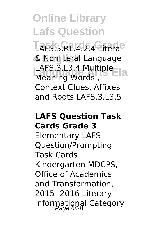LAFS.3.RL.4.2.4 Literal **4 English** & Nonliteral Language LAFS.3.L3.4 Multiple<br>Meaning Words Meaning Words , Context Clues, Affixes and Roots LAFS.3.L3.5

#### **LAFS Question Task Cards Grade 3**

Elementary LAFS Question/Prompting Task Cards Kindergarten MDCPS, Office of Academics and Transformation, 2015 -2016 Literary Informational Category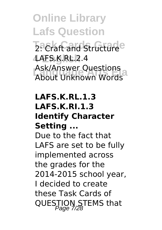**Online Library Lafs Question Z**: Craft and Structure **4 English** LAFS.K.RL.2.4 ASK/Affiswer Questions<br>About Unknown Words Ask/Answer Questions

#### **LAFS.K.RL.1.3 LAFS.K.RI.1.3 Identify Character Setting ...**

Due to the fact that LAFS are set to be fully implemented across the grades for the 2014-2015 school year, I decided to create these Task Cards of QUESTION STEMS that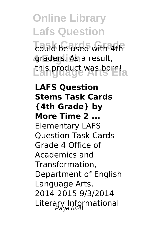**Task Cards Grade** could be used with 4th **4 English** graders. As a result, **Language Arts Ela** this product was born!

**LAFS Question Stems Task Cards {4th Grade} by More Time 2 ...** Elementary LAFS Question Task Cards Grade 4 Office of Academics and Transformation, Department of English Language Arts, 2014-2015 9/3/2014 Literary Informational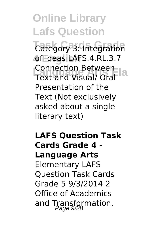**Category 3: Integration 4 English** of Ideas LAFS.4.RL.3.7 **Language Arts Ela** Text and Visual/ Oral Connection Between Presentation of the Text (Not exclusively asked about a single literary text)

**LAFS Question Task Cards Grade 4 - Language Arts** Elementary LAFS Question Task Cards

Grade 5 9/3/2014 2 Office of Academics and Transformation,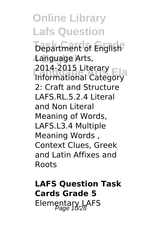**Online Library Lafs Question Department of English 4 English** Language Arts, **Language Arts Ela** Informational Category 2014-2015 Literary 2: Craft and Structure LAFS.RL.5.2.4 Literal and Non Literal Meaning of Words, LAFS.L3.4 Multiple Meaning Words , Context Clues, Greek and Latin Affixes and Roots

**LAFS Question Task Cards Grade 5** Elementary LAFS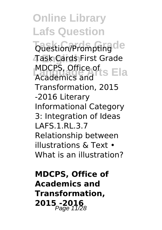**Online Library Lafs Question Question/Prompting de 4 English** Task Cards First Grade MDCPS, Office of<br>Academics and LS Ela Academics and Transformation, 2015 -2016 Literary Informational Category 3: Integration of Ideas LAFS.1.RL.3.7 Relationship between illustrations & Text • What is an illustration?

**MDCPS, Office of Academics and Transformation, 2015** -2016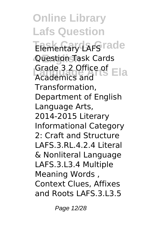**Online Library Lafs Question Elementary LAFS rade 4 English** Question Task Cards Grade 3.2 Office of **Ela** Academics and Transformation, Department of English Language Arts, 2014-2015 Literary Informational Category 2: Craft and Structure LAFS.3.RL.4.2.4 Literal & Nonliteral Language LAFS.3.L3.4 Multiple Meaning Words , Context Clues, Affixes and Roots LAFS.3.L3.5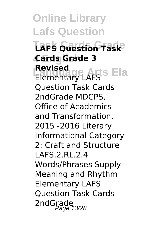**Online Library Lafs Question Task Cards Grade LAFS Question Task 4 English Cards Grade 3 Revised**<br>Elementary LAFS<sup>S</sup> Ela **Revised** Question Task Cards 2ndGrade MDCPS, Office of Academics and Transformation, 2015 -2016 Literary Informational Category 2: Craft and Structure LAFS.2.RL.2.4 Words/Phrases Supply Meaning and Rhythm Elementary LAFS Question Task Cards 2ndGrade<br>Page 13/28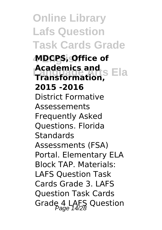**Online Library Lafs Question Task Cards Grade**

**4 English MDCPS, Office of Academics and<br>
Transformation**<br> **A Transformation, 2015 -2016** District Formative Assessements Frequently Asked Questions. Florida **Standards** Assessments (FSA) Portal. Elementary ELA Block TAP. Materials: LAFS Question Task Cards Grade 3. LAFS Question Task Cards Grade 4 LAFS Question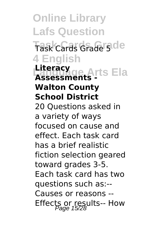**Online Library Lafs Question Task Cards Grade** Task Cards Grade 5 **4 English Language Arts Ela Literacy Assessments - Walton County School District** 20 Questions asked in a variety of ways focused on cause and effect. Each task card has a brief realistic fiction selection geared toward grades 3-5. Each task card has two questions such as:-- Causes or reasons -- Effects or results-- How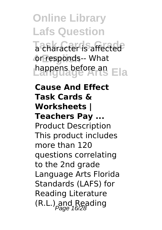**Ta** character is affected or responds-- What **Language Arts Ela** happens before an

**Cause And Effect Task Cards & Worksheets | Teachers Pay ...** Product Description This product includes more than 120 questions correlating to the 2nd grade Language Arts Florida

Standards (LAFS) for Reading Literature  $(R.L.)$  and Reading Page 16/28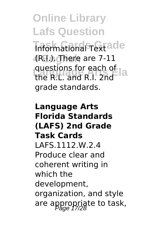**Informational Text ade 4 English** (R.I.). There are 7-11 **questions for each of a**<br>the **BL** and **BL** 2nd the R.L. and R.I. 2nd grade standards.

**Language Arts Florida Standards (LAFS) 2nd Grade Task Cards** LAFS.1112.W.2.4 Produce clear and coherent writing in which the development, organization, and style are appropriate to task,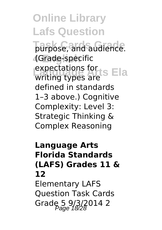**Tarpose, and audience. 4 English** (Grade-specific expectations for **Language Article**<br>Surfactures are writing types are defined in standards 1–3 above.) Cognitive Complexity: Level 3: Strategic Thinking & Complex Reasoning

#### **Language Arts Florida Standards (LAFS) Grades 11 & 12** Elementary LAFS Question Task Cards Grade 5 9/3/2014 2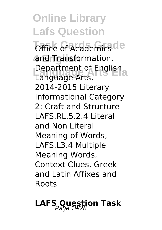**Office of Academics de 4 English** and Transformation, **Department of English**<br>Language Arts Language Arts, 2014-2015 Literary Informational Category 2: Craft and Structure LAFS.RL.5.2.4 Literal and Non Literal Meaning of Words, LAFS.L3.4 Multiple Meaning Words, Context Clues, Greek and Latin Affixes and Roots

### **LAFS Question Task**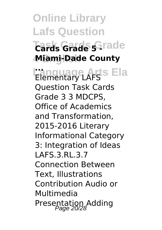**Online Library Lafs Question**  $\overline{\text{Cards}}$  Grade 5 -*Cards* **4 English Miami-Dade County Language Arts Ela ...** Elementary LAFS Question Task Cards Grade 3 3 MDCPS, Office of Academics and Transformation, 2015-2016 Literary Informational Category 3: Integration of Ideas LAFS.3.RL.3.7

Connection Between Text, Illustrations Contribution Audio or Multimedia Presentation Adding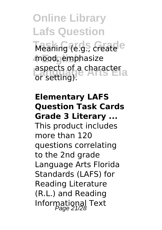**Online Library Lafs Question** Meaning (e.g., create<sup>e</sup> **4 English** mood, emphasize **Language Artical**<br>aspects of a character or setting).

#### **Elementary LAFS Question Task Cards Grade 3 Literary ...**

This product includes more than 120 questions correlating to the 2nd grade Language Arts Florida Standards (LAFS) for Reading Literature (R.L.) and Reading Informational Text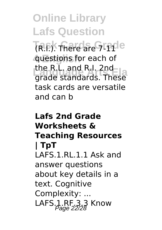**TR.F.**). There are **Grade 4 English** questions for each of **Language Arts Ela** grade standards. These the R.L. and R.I. 2nd task cards are versatile and can b

#### **Lafs 2nd Grade Worksheets & Teaching Resources | TpT** LAFS.1.RL.1.1 Ask and answer questions about key details in a text. Cognitive Complexity: ... LAFS.1.RF.3.3 Know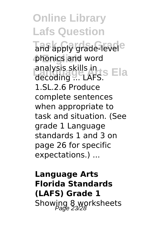**Online Library Lafs Question Tand apply grade-level**e **phonics and word Language Skills in Language Article**<br>
analysis skills in Language Ela decoding ... LAFS. 1.SL.2.6 Produce complete sentences when appropriate to task and situation. (See grade 1 Language standards 1 and 3 on page 26 for specific expectations.) ...

**Language Arts Florida Standards (LAFS) Grade 1** Showing 8 worksheets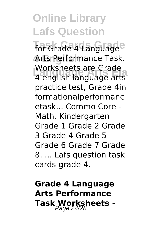**For Grade 4 Language** Arts Performance Task. **Language Arts Ela** 4 english language arts Worksheets are Grade practice test, Grade 4in formationalperformanc etask... Commo Core - Math. Kindergarten Grade 1 Grade 2 Grade 3 Grade 4 Grade 5 Grade 6 Grade 7 Grade 8. ... Lafs question task cards grade 4.

**Grade 4 Language Arts Performance Task Worksheets -** Page 24/28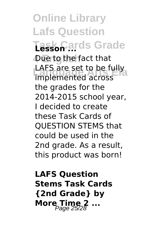**Online Library Lafs Question Task Cards Grade Lesson ... 4 English** Due to the fact that **LAFS are set to be fully**<br>implemented across implemented across the grades for the 2014-2015 school year, I decided to create these Task Cards of QUESTION STEMS that could be used in the 2nd grade. As a result. this product was born!

**LAFS Question Stems Task Cards {2nd Grade} by More Time 2 ...**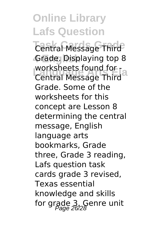**Central Message Third 4 English** Grade. Displaying top 8 **Worksheets found for -**<br>Central Message Third Central Message Third Grade. Some of the worksheets for this concept are Lesson 8 determining the central message, English language arts bookmarks, Grade three, Grade 3 reading, Lafs question task cards grade 3 revised, Texas essential knowledge and skills for grade  $3$ , Genre unit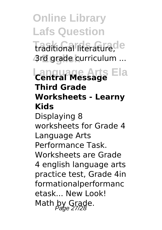**Task Cards Grade** traditional literature, **4 English** 3rd grade curriculum ...

#### **Language Arts Ela Central Message Third Grade Worksheets - Learny Kids** Displaying 8

worksheets for Grade 4 Language Arts Performance Task. Worksheets are Grade 4 english language arts practice test, Grade 4in formationalperformanc etask... New Look! Math by Grade.